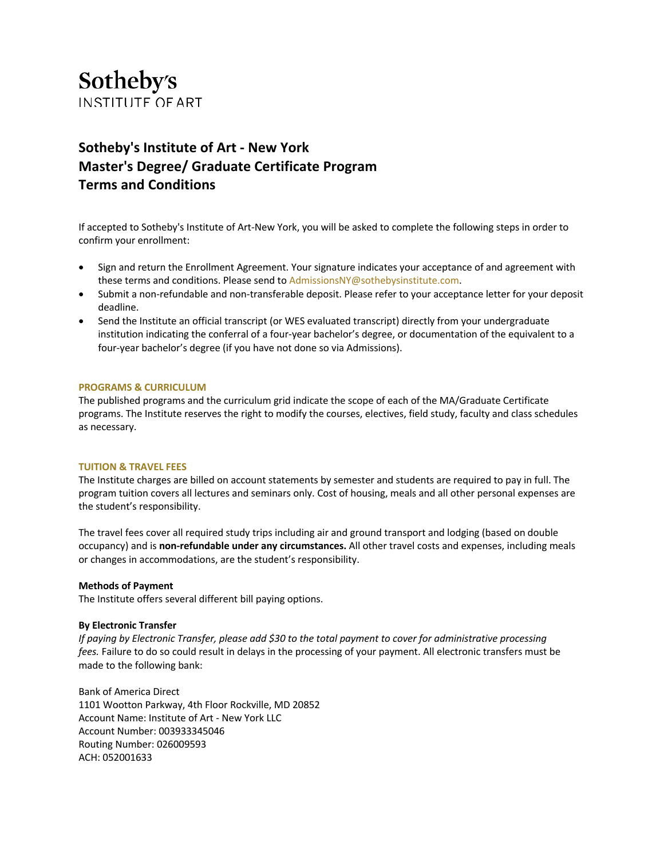# Sotheby's **INSTITUTE OF ART**

# **Sotheby's Institute of Art - New York Master's Degree/ Graduate Certificate Program Terms and Conditions**

If accepted to Sotheby's Institute of Art-New York, you will be asked to complete the following steps in order to confirm your enrollment:

- Sign and return the Enrollment Agreement. Your signature indicates your acceptance of and agreement with these terms and conditions. Please send to AdmissionsNY@sothebysinstitute.com.
- Submit a non-refundable and non-transferable deposit. Please refer to your acceptance letter for your deposit deadline.
- Send the Institute an official transcript (or WES evaluated transcript) directly from your undergraduate institution indicating the conferral of a four-year bachelor's degree, or documentation of the equivalent to a four-year bachelor's degree (if you have not done so via Admissions).

# **PROGRAMS & CURRICULUM**

The published programs and the curriculum grid indicate the scope of each of the MA/Graduate Certificate programs. The Institute reserves the right to modify the courses, electives, field study, faculty and class schedules as necessary.

#### **TUITION & TRAVEL FEES**

The Institute charges are billed on account statements by semester and students are required to pay in full. The program tuition covers all lectures and seminars only. Cost of housing, meals and all other personal expenses are the student's responsibility.

The travel fees cover all required study trips including air and ground transport and lodging (based on double occupancy) and is **non-refundable under any circumstances.** All other travel costs and expenses, including meals or changes in accommodations, are the student's responsibility.

#### **Methods of Payment**

The Institute offers several different bill paying options.

## **By Electronic Transfer**

If paying by Electronic Transfer, please add \$30 to the total payment to cover for administrative processing *fees.* Failure to do so could result in delays in the processing of your payment. All electronic transfers must be made to the following bank:

Bank of America Direct 1101 Wootton Parkway, 4th Floor Rockville, MD 20852 Account Name: Institute of Art - New York LLC Account Number: 003933345046 Routing Number: 026009593 ACH: 052001633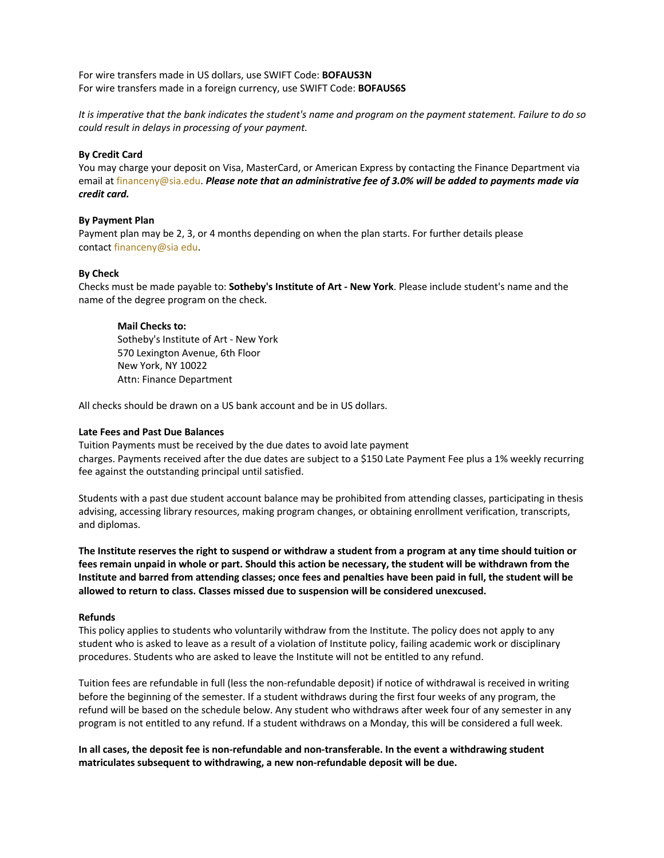For wire transfers made in US dollars, use SWIFT Code: **BOFAUS3N** For wire transfers made in a foreign currency, use SWIFT Code: **BOFAUS6S**

It is imperative that the bank indicates the student's name and program on the payment statement. Failure to do so *could result in delays in processing of your payment.*

# **By Credit Card**

You may charge your deposit on Visa, MasterCard, or American Express by contacting the Finance Department via email at financeny@sia.edu. *Please note that an administrative fee of 3.0% will be added to payments made via credit card.*

## **By Payment Plan**

Payment plan may be 2, 3, or 4 months depending on when the plan starts. For further details please contact financeny@sia edu.

## **By Check**

Checks must be made payable to: **Sotheby's Institute of Art - New York**. Please include student's name and the name of the degree program on the check.

# **Mail Checks to:**

Sotheby's Institute of Art - New York 570 Lexington Avenue, 6th Floor New York, NY 10022 Attn: Finance Department

All checks should be drawn on a US bank account and be in US dollars.

## **Late Fees and Past Due Balances**

Tuition Payments must be received by the due dates to avoid late payment charges. Payments received after the due dates are subject to a \$150 Late Payment Fee plus a 1% weekly recurring fee against the outstanding principal until satisfied.

Students with a past due student account balance may be prohibited from attending classes, participating in thesis advising, accessing library resources, making program changes, or obtaining enrollment verification, transcripts, and diplomas.

**The Institute reserves the right to suspend or withdraw a student from a program at any time should tuition or** fees remain unpaid in whole or part. Should this action be necessary, the student will be withdrawn from the Institute and barred from attending classes; once fees and penalties have been paid in full, the student will be **allowed to return to class. Classes missed due to suspension will be considered unexcused.**

## **Refunds**

This policy applies to students who voluntarily withdraw from the Institute. The policy does not apply to any student who is asked to leave as a result of a violation of Institute policy, failing academic work or disciplinary procedures. Students who are asked to leave the Institute will not be entitled to any refund.

Tuition fees are refundable in full (less the non-refundable deposit) if notice of withdrawal is received in writing before the beginning of the semester. If a student withdraws during the first four weeks of any program, the refund will be based on the schedule below. Any student who withdraws after week four of any semester in any program is not entitled to any refund. If a student withdraws on a Monday, this will be considered a full week.

**In all cases, the deposit fee is non-refundable and non-transferable. In the event a withdrawing student matriculates subsequent to withdrawing, a new non-refundable deposit will be due.**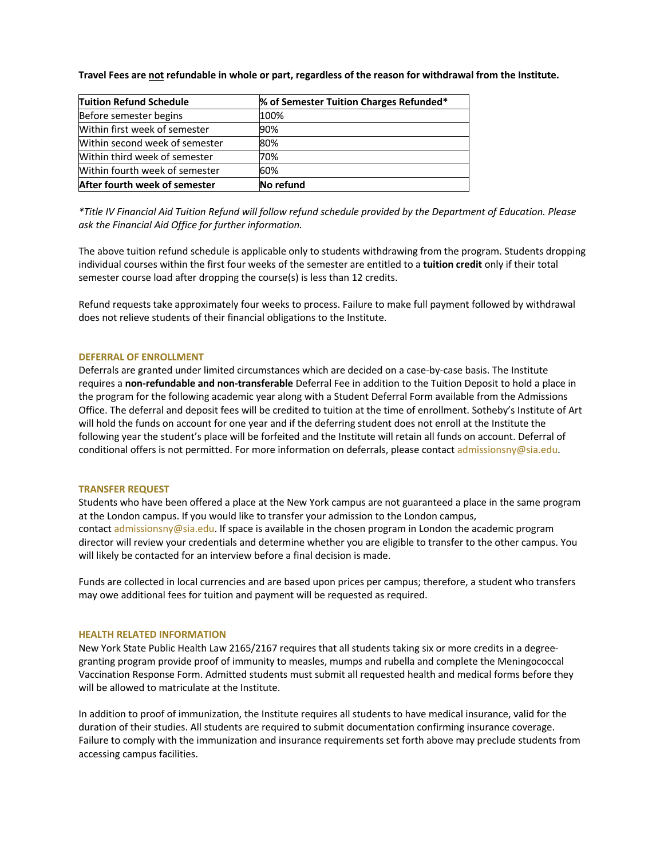Travel Fees are not refundable in whole or part, regardless of the reason for withdrawal from the Institute.

| <b>Tuition Refund Schedule</b> | % of Semester Tuition Charges Refunded* |
|--------------------------------|-----------------------------------------|
| Before semester begins         | 100%                                    |
| Within first week of semester  | 90%                                     |
| Within second week of semester | 80%                                     |
| Within third week of semester  | 70%                                     |
| Within fourth week of semester | 60%                                     |
| After fourth week of semester  | No refund                               |

\*Title IV Financial Aid Tuition Refund will follow refund schedule provided by the Department of Education. Please *ask the Financial Aid Office for further information.*

The above tuition refund schedule is applicable only to students withdrawing from the program. Students dropping individual courses within the first four weeks of the semester are entitled to a **tuition credit** only if their total semester course load after dropping the course(s) is less than 12 credits.

Refund requests take approximately four weeks to process. Failure to make full payment followed by withdrawal does not relieve students of their financial obligations to the Institute.

#### **DEFERRAL OF ENROLLMENT**

Deferrals are granted under limited circumstances which are decided on a case-by-case basis. The Institute requires a **non-refundable and non-transferable** Deferral Fee in addition to the Tuition Deposit to hold a place in the program for the following academic year along with a Student Deferral Form available from the Admissions Office. The deferral and deposit fees will be credited to tuition at the time of enrollment. Sotheby's Institute of Art will hold the funds on account for one year and if the deferring student does not enroll at the Institute the following year the student's place will be forfeited and the Institute will retain all funds on account. Deferral of conditional offers is not permitted. For more information on deferrals, please contact admissionsny@sia.edu.

#### **TRANSFER REQUEST**

Students who have been offered a place at the New York campus are not guaranteed a place in the same program at the London campus. If you would like to transfer your admission to the London campus, contact admissionsny@sia.edu. If space is available in the chosen program in London the academic program director will review your credentials and determine whether you are eligible to transfer to the other campus. You will likely be contacted for an interview before a final decision is made.

Funds are collected in local currencies and are based upon prices per campus; therefore, a student who transfers may owe additional fees for tuition and payment will be requested as required.

#### **HEALTH RELATED INFORMATION**

New York State Public Health Law 2165/2167 requires that all students taking six or more credits in a degreegranting program provide proof of immunity to measles, mumps and rubella and complete the Meningococcal Vaccination Response Form. Admitted students must submit all requested health and medical forms before they will be allowed to matriculate at the Institute.

In addition to proof of immunization, the Institute requires all students to have medical insurance, valid for the duration of their studies. All students are required to submit documentation confirming insurance coverage. Failure to comply with the immunization and insurance requirements set forth above may preclude students from accessing campus facilities.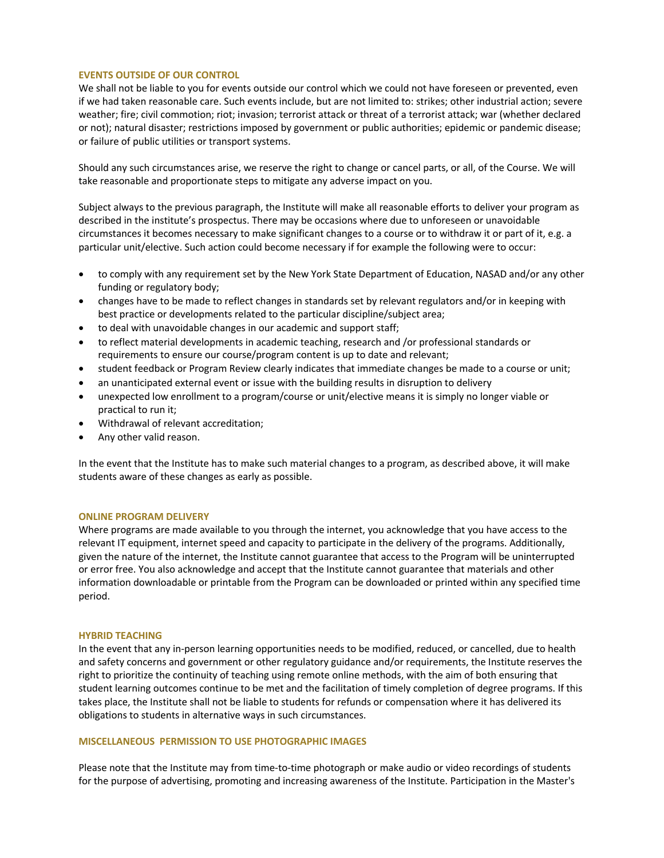# **EVENTS OUTSIDE OF OUR CONTROL**

We shall not be liable to you for events outside our control which we could not have foreseen or prevented, even if we had taken reasonable care. Such events include, but are not limited to: strikes; other industrial action; severe weather; fire; civil commotion; riot; invasion; terrorist attack or threat of a terrorist attack; war (whether declared or not); natural disaster; restrictions imposed by government or public authorities; epidemic or pandemic disease; or failure of public utilities or transport systems.

Should any such circumstances arise, we reserve the right to change or cancel parts, or all, of the Course. We will take reasonable and proportionate steps to mitigate any adverse impact on you.

Subject always to the previous paragraph, the Institute will make all reasonable efforts to deliver your program as described in the institute's prospectus. There may be occasions where due to unforeseen or unavoidable circumstances it becomes necessary to make significant changes to a course or to withdraw it or part of it, e.g. a particular unit/elective. Such action could become necessary if for example the following were to occur:

- to comply with any requirement set by the New York State Department of Education, NASAD and/or any other funding or regulatory body;
- changes have to be made to reflect changes in standards set by relevant regulators and/or in keeping with best practice or developments related to the particular discipline/subject area;
- to deal with unavoidable changes in our academic and support staff;
- to reflect material developments in academic teaching, research and /or professional standards or requirements to ensure our course/program content is up to date and relevant;
- student feedback or Program Review clearly indicates that immediate changes be made to a course or unit;
- an unanticipated external event or issue with the building results in disruption to delivery
- unexpected low enrollment to a program/course or unit/elective means it is simply no longer viable or practical to run it;
- Withdrawal of relevant accreditation;
- Any other valid reason.

In the event that the Institute has to make such material changes to a program, as described above, it will make students aware of these changes as early as possible.

## **ONLINE PROGRAM DELIVERY**

Where programs are made available to you through the internet, you acknowledge that you have access to the relevant IT equipment, internet speed and capacity to participate in the delivery of the programs. Additionally, given the nature of the internet, the Institute cannot guarantee that access to the Program will be uninterrupted or error free. You also acknowledge and accept that the Institute cannot guarantee that materials and other information downloadable or printable from the Program can be downloaded or printed within any specified time period.

#### **HYBRID TEACHING**

In the event that any in-person learning opportunities needs to be modified, reduced, or cancelled, due to health and safety concerns and government or other regulatory guidance and/or requirements, the Institute reserves the right to prioritize the continuity of teaching using remote online methods, with the aim of both ensuring that student learning outcomes continue to be met and the facilitation of timely completion of degree programs. If this takes place, the Institute shall not be liable to students for refunds or compensation where it has delivered its obligations to students in alternative ways in such circumstances.

#### **MISCELLANEOUS PERMISSION TO USE PHOTOGRAPHIC IMAGES**

Please note that the Institute may from time-to-time photograph or make audio or video recordings of students for the purpose of advertising, promoting and increasing awareness of the Institute. Participation in the Master's